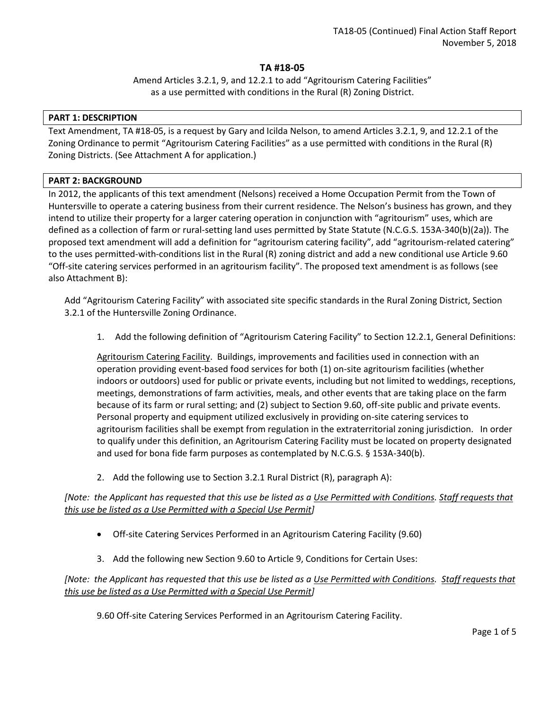### **TA #18-05**

Amend Articles 3.2.1, 9, and 12.2.1 to add "Agritourism Catering Facilities" as a use permitted with conditions in the Rural (R) Zoning District.

### **PART 1: DESCRIPTION**

Text Amendment, TA #18-05, is a request by Gary and Icilda Nelson, to amend Articles 3.2.1, 9, and 12.2.1 of the Zoning Ordinance to permit "Agritourism Catering Facilities" as a use permitted with conditions in the Rural (R) Zoning Districts. (See Attachment A for application.)

### **PART 2: BACKGROUND**

In 2012, the applicants of this text amendment (Nelsons) received a Home Occupation Permit from the Town of Huntersville to operate a catering business from their current residence. The Nelson's business has grown, and they intend to utilize their property for a larger catering operation in conjunction with "agritourism" uses, which are defined as a collection of farm or rural-setting land uses permitted by State Statute (N.C.G.S. 153A-340(b)(2a)). The proposed text amendment will add a definition for "agritourism catering facility", add "agritourism-related catering" to the uses permitted-with-conditions list in the Rural (R) zoning district and add a new conditional use Article 9.60 "Off-site catering services performed in an agritourism facility". The proposed text amendment is as follows (see also Attachment B):

Add "Agritourism Catering Facility" with associated site specific standards in the Rural Zoning District, Section 3.2.1 of the Huntersville Zoning Ordinance.

1. Add the following definition of "Agritourism Catering Facility" to Section 12.2.1, General Definitions:

Agritourism Catering Facility. Buildings, improvements and facilities used in connection with an operation providing event-based food services for both (1) on-site agritourism facilities (whether indoors or outdoors) used for public or private events, including but not limited to weddings, receptions, meetings, demonstrations of farm activities, meals, and other events that are taking place on the farm because of its farm or rural setting; and (2) subject to Section 9.60, off-site public and private events. Personal property and equipment utilized exclusively in providing on-site catering services to agritourism facilities shall be exempt from regulation in the extraterritorial zoning jurisdiction. In order to qualify under this definition, an Agritourism Catering Facility must be located on property designated and used for bona fide farm purposes as contemplated by N.C.G.S. § 153A-340(b).

2. Add the following use to Section 3.2.1 Rural District (R), paragraph A):

*[Note: the Applicant has requested that this use be listed as a Use Permitted with Conditions. Staff requests that this use be listed as a Use Permitted with a Special Use Permit]*

- Off-site Catering Services Performed in an Agritourism Catering Facility (9.60)
- 3. Add the following new Section 9.60 to Article 9, Conditions for Certain Uses:

# *[Note: the Applicant has requested that this use be listed as a Use Permitted with Conditions. Staff requests that this use be listed as a Use Permitted with a Special Use Permit]*

9.60 Off-site Catering Services Performed in an Agritourism Catering Facility.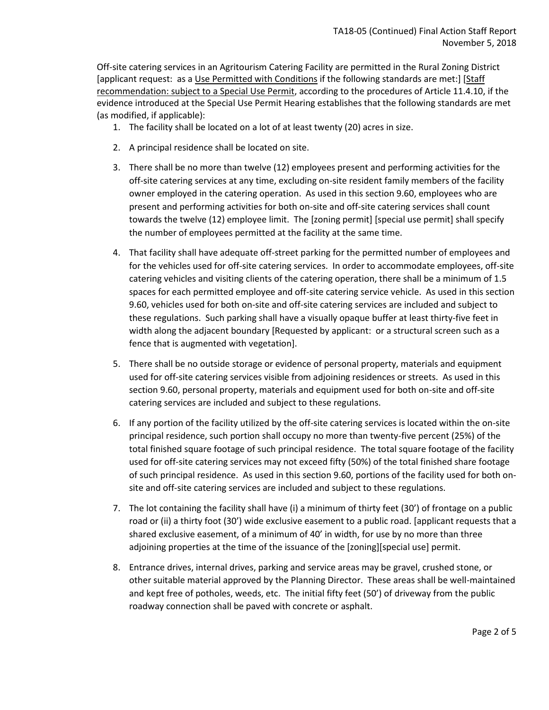Off-site catering services in an Agritourism Catering Facility are permitted in the Rural Zoning District [applicant request: as a Use Permitted with Conditions if the following standards are met:] [Staff recommendation: subject to a Special Use Permit, according to the procedures of Article 11.4.10, if the evidence introduced at the Special Use Permit Hearing establishes that the following standards are met (as modified, if applicable):

- 1. The facility shall be located on a lot of at least twenty (20) acres in size.
- 2. A principal residence shall be located on site.
- 3. There shall be no more than twelve (12) employees present and performing activities for the off-site catering services at any time, excluding on-site resident family members of the facility owner employed in the catering operation. As used in this section 9.60, employees who are present and performing activities for both on-site and off-site catering services shall count towards the twelve (12) employee limit. The [zoning permit] [special use permit] shall specify the number of employees permitted at the facility at the same time.
- 4. That facility shall have adequate off-street parking for the permitted number of employees and for the vehicles used for off-site catering services. In order to accommodate employees, off-site catering vehicles and visiting clients of the catering operation, there shall be a minimum of 1.5 spaces for each permitted employee and off-site catering service vehicle. As used in this section 9.60, vehicles used for both on-site and off-site catering services are included and subject to these regulations. Such parking shall have a visually opaque buffer at least thirty-five feet in width along the adjacent boundary [Requested by applicant: or a structural screen such as a fence that is augmented with vegetation].
- 5. There shall be no outside storage or evidence of personal property, materials and equipment used for off-site catering services visible from adjoining residences or streets. As used in this section 9.60, personal property, materials and equipment used for both on-site and off-site catering services are included and subject to these regulations.
- 6. If any portion of the facility utilized by the off-site catering services is located within the on-site principal residence, such portion shall occupy no more than twenty-five percent (25%) of the total finished square footage of such principal residence. The total square footage of the facility used for off-site catering services may not exceed fifty (50%) of the total finished share footage of such principal residence. As used in this section 9.60, portions of the facility used for both onsite and off-site catering services are included and subject to these regulations.
- 7. The lot containing the facility shall have (i) a minimum of thirty feet (30') of frontage on a public road or (ii) a thirty foot (30') wide exclusive easement to a public road. [applicant requests that a shared exclusive easement, of a minimum of 40' in width, for use by no more than three adjoining properties at the time of the issuance of the [zoning][special use] permit.
- 8. Entrance drives, internal drives, parking and service areas may be gravel, crushed stone, or other suitable material approved by the Planning Director. These areas shall be well-maintained and kept free of potholes, weeds, etc. The initial fifty feet (50') of driveway from the public roadway connection shall be paved with concrete or asphalt.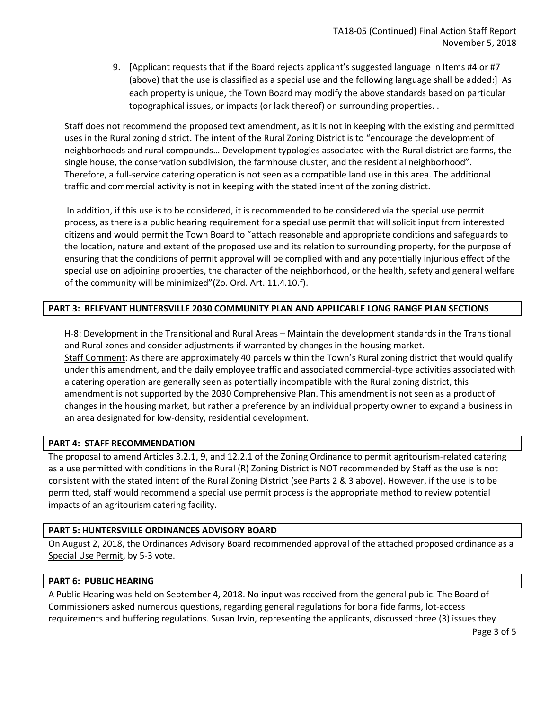9. [Applicant requests that if the Board rejects applicant's suggested language in Items #4 or #7 (above) that the use is classified as a special use and the following language shall be added:] As each property is unique, the Town Board may modify the above standards based on particular topographical issues, or impacts (or lack thereof) on surrounding properties. .

Staff does not recommend the proposed text amendment, as it is not in keeping with the existing and permitted uses in the Rural zoning district. The intent of the Rural Zoning District is to "encourage the development of neighborhoods and rural compounds… Development typologies associated with the Rural district are farms, the single house, the conservation subdivision, the farmhouse cluster, and the residential neighborhood". Therefore, a full-service catering operation is not seen as a compatible land use in this area. The additional traffic and commercial activity is not in keeping with the stated intent of the zoning district.

In addition, if this use is to be considered, it is recommended to be considered via the special use permit process, as there is a public hearing requirement for a special use permit that will solicit input from interested citizens and would permit the Town Board to "attach reasonable and appropriate conditions and safeguards to the location, nature and extent of the proposed use and its relation to surrounding property, for the purpose of ensuring that the conditions of permit approval will be complied with and any potentially injurious effect of the special use on adjoining properties, the character of the neighborhood, or the health, safety and general welfare of the community will be minimized"(Zo. Ord. Art. 11.4.10.f).

### **PART 3: RELEVANT HUNTERSVILLE 2030 COMMUNITY PLAN AND APPLICABLE LONG RANGE PLAN SECTIONS**

H-8: Development in the Transitional and Rural Areas – Maintain the development standards in the Transitional and Rural zones and consider adjustments if warranted by changes in the housing market. Staff Comment: As there are approximately 40 parcels within the Town's Rural zoning district that would qualify under this amendment, and the daily employee traffic and associated commercial-type activities associated with a catering operation are generally seen as potentially incompatible with the Rural zoning district, this amendment is not supported by the 2030 Comprehensive Plan. This amendment is not seen as a product of changes in the housing market, but rather a preference by an individual property owner to expand a business in an area designated for low-density, residential development.

### **PART 4: STAFF RECOMMENDATION**

The proposal to amend Articles 3.2.1, 9, and 12.2.1 of the Zoning Ordinance to permit agritourism-related catering as a use permitted with conditions in the Rural (R) Zoning District is NOT recommended by Staff as the use is not consistent with the stated intent of the Rural Zoning District (see Parts 2 & 3 above). However, if the use is to be permitted, staff would recommend a special use permit process is the appropriate method to review potential impacts of an agritourism catering facility.

#### **PART 5: HUNTERSVILLE ORDINANCES ADVISORY BOARD**

On August 2, 2018, the Ordinances Advisory Board recommended approval of the attached proposed ordinance as a Special Use Permit, by 5-3 vote.

#### **PART 6: PUBLIC HEARING**

A Public Hearing was held on September 4, 2018. No input was received from the general public. The Board of Commissioners asked numerous questions, regarding general regulations for bona fide farms, lot-access requirements and buffering regulations. Susan Irvin, representing the applicants, discussed three (3) issues they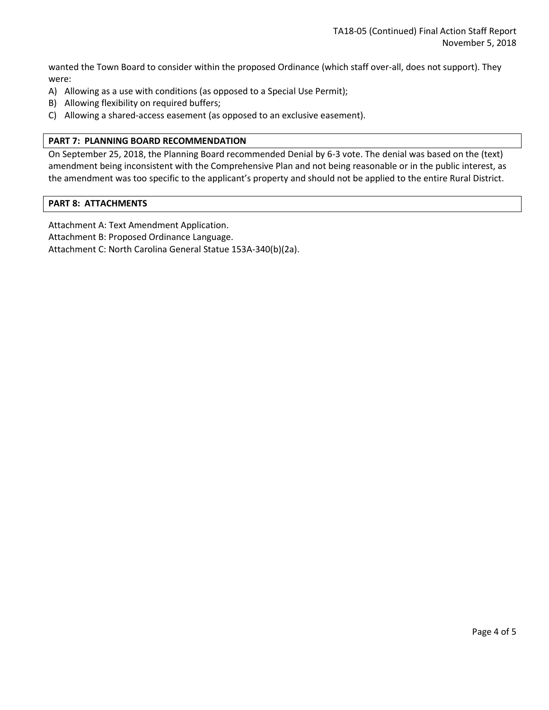wanted the Town Board to consider within the proposed Ordinance (which staff over-all, does not support). They were:

- A) Allowing as a use with conditions (as opposed to a Special Use Permit);
- B) Allowing flexibility on required buffers;
- C) Allowing a shared-access easement (as opposed to an exclusive easement).

### **PART 7: PLANNING BOARD RECOMMENDATION**

On September 25, 2018, the Planning Board recommended Denial by 6-3 vote. The denial was based on the (text) amendment being inconsistent with the Comprehensive Plan and not being reasonable or in the public interest, as the amendment was too specific to the applicant's property and should not be applied to the entire Rural District.

#### **PART 8: ATTACHMENTS**

Attachment A: Text Amendment Application.

Attachment B: Proposed Ordinance Language.

Attachment C: North Carolina General Statue 153A-340(b)(2a).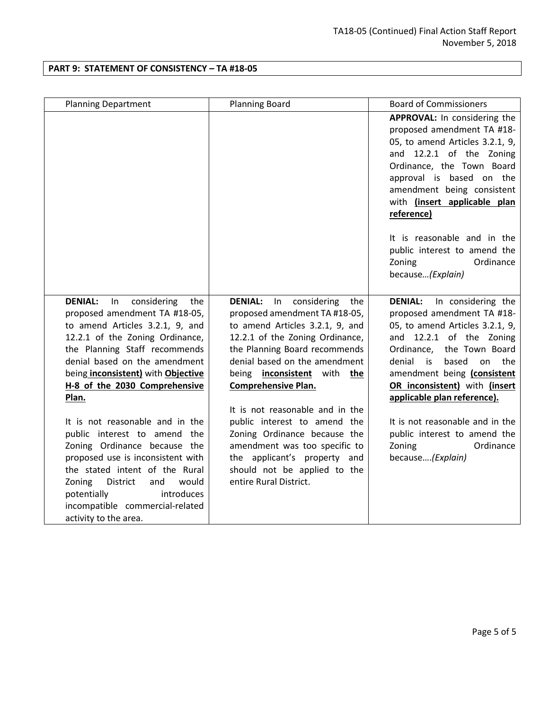## **PART 9: STATEMENT OF CONSISTENCY – TA #18-05**

| <b>Planning Department</b>                                                                                                                                                                                                                                                                                                                                                                                                                                                                                                                                                                                   | <b>Planning Board</b>                                                                                                                                                                                                                                                                                                                                                                                                                                                                                    | <b>Board of Commissioners</b>                                                                                                                                                                                                                                                                                                                                                                                        |
|--------------------------------------------------------------------------------------------------------------------------------------------------------------------------------------------------------------------------------------------------------------------------------------------------------------------------------------------------------------------------------------------------------------------------------------------------------------------------------------------------------------------------------------------------------------------------------------------------------------|----------------------------------------------------------------------------------------------------------------------------------------------------------------------------------------------------------------------------------------------------------------------------------------------------------------------------------------------------------------------------------------------------------------------------------------------------------------------------------------------------------|----------------------------------------------------------------------------------------------------------------------------------------------------------------------------------------------------------------------------------------------------------------------------------------------------------------------------------------------------------------------------------------------------------------------|
|                                                                                                                                                                                                                                                                                                                                                                                                                                                                                                                                                                                                              |                                                                                                                                                                                                                                                                                                                                                                                                                                                                                                          | APPROVAL: In considering the<br>proposed amendment TA #18-<br>05, to amend Articles 3.2.1, 9,<br>and 12.2.1 of the Zoning<br>Ordinance, the Town Board<br>approval is based on the<br>amendment being consistent<br>with (insert applicable plan<br>reference)                                                                                                                                                       |
|                                                                                                                                                                                                                                                                                                                                                                                                                                                                                                                                                                                                              |                                                                                                                                                                                                                                                                                                                                                                                                                                                                                                          | It is reasonable and in the<br>public interest to amend the<br>Ordinance<br>Zoning<br>because(Explain)                                                                                                                                                                                                                                                                                                               |
| <b>DENIAL:</b><br>considering<br>ln<br>the<br>proposed amendment TA #18-05,<br>to amend Articles 3.2.1, 9, and<br>12.2.1 of the Zoning Ordinance,<br>the Planning Staff recommends<br>denial based on the amendment<br>being inconsistent) with Objective<br>H-8 of the 2030 Comprehensive<br>Plan.<br>It is not reasonable and in the<br>public interest to amend the<br>Zoning Ordinance because the<br>proposed use is inconsistent with<br>the stated intent of the Rural<br>Zoning<br>District<br>and<br>would<br>introduces<br>potentially<br>incompatible commercial-related<br>activity to the area. | <b>DENIAL:</b> In considering<br>the<br>proposed amendment TA #18-05,<br>to amend Articles 3.2.1, 9, and<br>12.2.1 of the Zoning Ordinance,<br>the Planning Board recommends<br>denial based on the amendment<br>being inconsistent with the<br><b>Comprehensive Plan.</b><br>It is not reasonable and in the<br>public interest to amend the<br>Zoning Ordinance because the<br>amendment was too specific to<br>the applicant's property and<br>should not be applied to the<br>entire Rural District. | <b>DENIAL:</b><br>In considering the<br>proposed amendment TA #18-<br>05, to amend Articles 3.2.1, 9,<br>and 12.2.1 of the Zoning<br>the Town Board<br>Ordinance,<br>based<br>the<br>denial<br>is<br>on<br>amendment being (consistent<br>OR inconsistent) with (insert<br>applicable plan reference).<br>It is not reasonable and in the<br>public interest to amend the<br>Ordinance<br>Zoning<br>because(Explain) |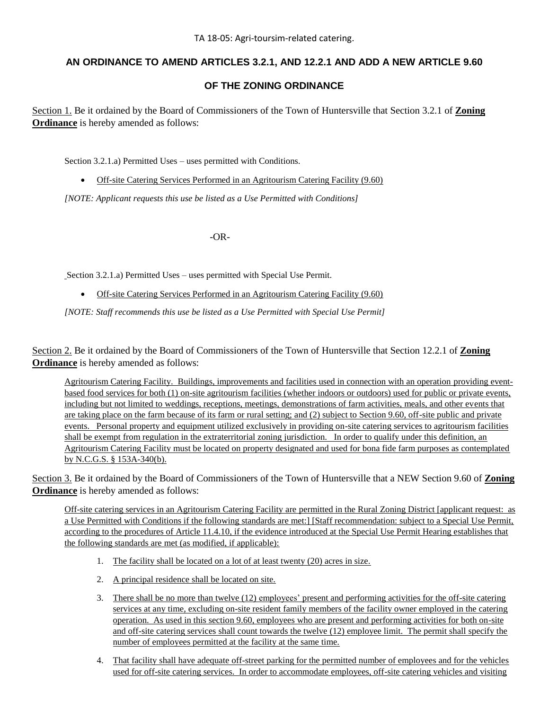# **AN ORDINANCE TO AMEND ARTICLES 3.2.1, AND 12.2.1 AND ADD A NEW ARTICLE 9.60**

# **OF THE ZONING ORDINANCE**

Section 1. Be it ordained by the Board of Commissioners of the Town of Huntersville that Section 3.2.1 of **Zoning Ordinance** is hereby amended as follows:

Section 3.2.1.a) Permitted Uses – uses permitted with Conditions.

Off-site Catering Services Performed in an Agritourism Catering Facility (9.60)

*[NOTE: Applicant requests this use be listed as a Use Permitted with Conditions]*

-OR-

Section 3.2.1.a) Permitted Uses – uses permitted with Special Use Permit.

Off-site Catering Services Performed in an Agritourism Catering Facility (9.60)

*[NOTE: Staff recommends this use be listed as a Use Permitted with Special Use Permit]*

Section 2. Be it ordained by the Board of Commissioners of the Town of Huntersville that Section 12.2.1 of **Zoning Ordinance** is hereby amended as follows:

Agritourism Catering Facility. Buildings, improvements and facilities used in connection with an operation providing eventbased food services for both (1) on-site agritourism facilities (whether indoors or outdoors) used for public or private events, including but not limited to weddings, receptions, meetings, demonstrations of farm activities, meals, and other events that are taking place on the farm because of its farm or rural setting; and (2) subject to Section 9.60, off-site public and private events. Personal property and equipment utilized exclusively in providing on-site catering services to agritourism facilities shall be exempt from regulation in the extraterritorial zoning jurisdiction. In order to qualify under this definition, an Agritourism Catering Facility must be located on property designated and used for bona fide farm purposes as contemplated by N.C.G.S. § 153A-340(b).

Section 3. Be it ordained by the Board of Commissioners of the Town of Huntersville that a NEW Section 9.60 of **Zoning Ordinance** is hereby amended as follows:

Off-site catering services in an Agritourism Catering Facility are permitted in the Rural Zoning District [applicant request: as a Use Permitted with Conditions if the following standards are met:] [Staff recommendation: subject to a Special Use Permit, according to the procedures of Article 11.4.10, if the evidence introduced at the Special Use Permit Hearing establishes that the following standards are met (as modified, if applicable):

- 1. The facility shall be located on a lot of at least twenty (20) acres in size.
- 2. A principal residence shall be located on site.
- 3. There shall be no more than twelve (12) employees' present and performing activities for the off-site catering services at any time, excluding on-site resident family members of the facility owner employed in the catering operation. As used in this section 9.60, employees who are present and performing activities for both on-site and off-site catering services shall count towards the twelve (12) employee limit. The permit shall specify the number of employees permitted at the facility at the same time.
- 4. That facility shall have adequate off-street parking for the permitted number of employees and for the vehicles used for off-site catering services. In order to accommodate employees, off-site catering vehicles and visiting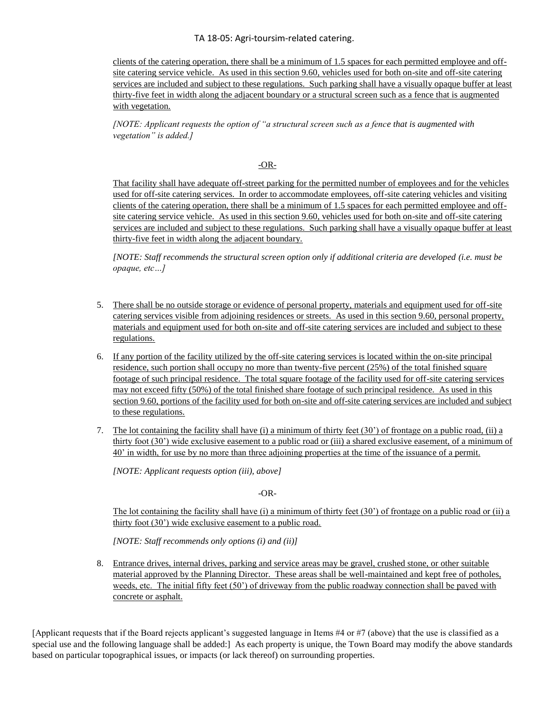TA 18-05: Agri-toursim-related catering.

clients of the catering operation, there shall be a minimum of 1.5 spaces for each permitted employee and offsite catering service vehicle. As used in this section 9.60, vehicles used for both on-site and off-site catering services are included and subject to these regulations. Such parking shall have a visually opaque buffer at least thirty-five feet in width along the adjacent boundary or a structural screen such as a fence that is augmented with vegetation.

*[NOTE: Applicant requests the option of "a structural screen such as a fence that is augmented with vegetation" is added.]*

### -OR-

That facility shall have adequate off-street parking for the permitted number of employees and for the vehicles used for off-site catering services. In order to accommodate employees, off-site catering vehicles and visiting clients of the catering operation, there shall be a minimum of 1.5 spaces for each permitted employee and offsite catering service vehicle. As used in this section 9.60, vehicles used for both on-site and off-site catering services are included and subject to these regulations. Such parking shall have a visually opaque buffer at least thirty-five feet in width along the adjacent boundary.

*[NOTE: Staff recommends the structural screen option only if additional criteria are developed (i.e. must be opaque, etc…]* 

- 5. There shall be no outside storage or evidence of personal property, materials and equipment used for off-site catering services visible from adjoining residences or streets. As used in this section 9.60, personal property, materials and equipment used for both on-site and off-site catering services are included and subject to these regulations.
- 6. If any portion of the facility utilized by the off-site catering services is located within the on-site principal residence, such portion shall occupy no more than twenty-five percent (25%) of the total finished square footage of such principal residence. The total square footage of the facility used for off-site catering services may not exceed fifty (50%) of the total finished share footage of such principal residence. As used in this section 9.60, portions of the facility used for both on-site and off-site catering services are included and subject to these regulations.
- 7. The lot containing the facility shall have (i) a minimum of thirty feet (30') of frontage on a public road, (ii) a thirty foot (30') wide exclusive easement to a public road or (iii) a shared exclusive easement, of a minimum of 40' in width, for use by no more than three adjoining properties at the time of the issuance of a permit.

*[NOTE: Applicant requests option (iii), above]*

-OR-

The lot containing the facility shall have (i) a minimum of thirty feet  $(30^{\circ})$  of frontage on a public road or (ii) a thirty foot (30') wide exclusive easement to a public road.

*[NOTE: Staff recommends only options (i) and (ii)]*

8. Entrance drives, internal drives, parking and service areas may be gravel, crushed stone, or other suitable material approved by the Planning Director. These areas shall be well-maintained and kept free of potholes, weeds, etc. The initial fifty feet (50') of driveway from the public roadway connection shall be paved with concrete or asphalt.

[Applicant requests that if the Board rejects applicant's suggested language in Items #4 or #7 (above) that the use is classified as a special use and the following language shall be added:] As each property is unique, the Town Board may modify the above standards based on particular topographical issues, or impacts (or lack thereof) on surrounding properties.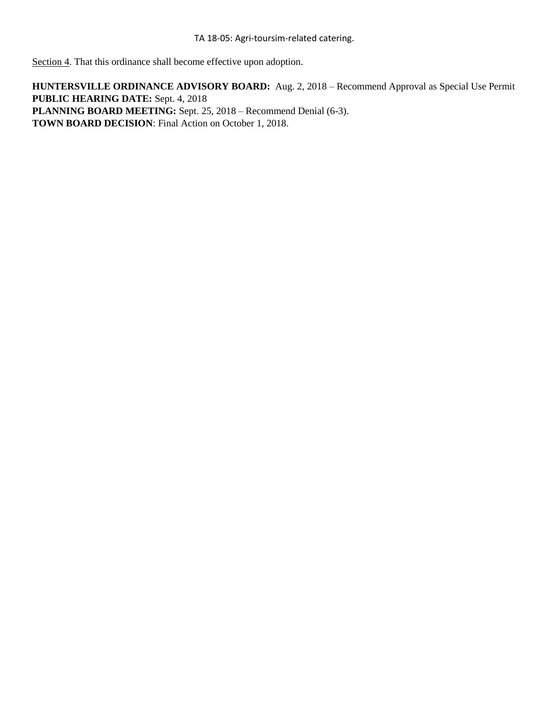Section 4. That this ordinance shall become effective upon adoption.

**HUNTERSVILLE ORDINANCE ADVISORY BOARD:** Aug. 2, 2018 – Recommend Approval as Special Use Permit **PUBLIC HEARING DATE:** Sept. 4, 2018 **PLANNING BOARD MEETING:** Sept. 25, 2018 – Recommend Denial (6-3). **TOWN BOARD DECISION**: Final Action on October 1, 2018.